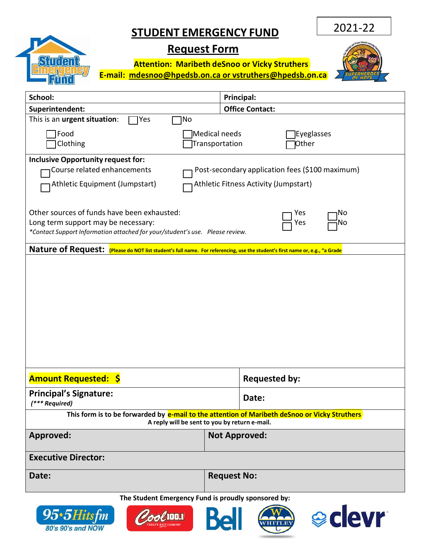## **STUDENT EMERGENCY FUND**

2021-22

## Shrien

80's 90's and NOW

## **Request Form**

**Attention: Maribeth deSnoo or Vicky Struthers E-mail: [mdesnoo@hpedsb.on.ca or](mailto:mdesnoo@hpedsb.on.ca%20or%20lnoel@hpedsb.on.ca) vstruthers@hpedsb.on.ca** 



| School:                                                                                                                                                            | Principal:                                                                               |  |  |
|--------------------------------------------------------------------------------------------------------------------------------------------------------------------|------------------------------------------------------------------------------------------|--|--|
| Superintendent:                                                                                                                                                    | <b>Office Contact:</b>                                                                   |  |  |
| This is an urgent situation:<br>Yes<br>No                                                                                                                          |                                                                                          |  |  |
| Food<br>Clothing                                                                                                                                                   | Medical needs<br>Eyeglasses<br>Transportation<br>Other                                   |  |  |
| <b>Inclusive Opportunity request for:</b><br>Course related enhancements<br>Athletic Equipment (Jumpstart)                                                         | Post-secondary application fees (\$100 maximum)<br>Athletic Fitness Activity (Jumpstart) |  |  |
| Other sources of funds have been exhausted:<br>Long term support may be necessary:<br>*Contact Support Information attached for your/student's use. Please review. | Yes<br>No<br>Yes<br>Νo                                                                   |  |  |
| Nature of Request: (Please do NOT list student's full name. For referencing, use the student's first name or, e.g., "a Grade                                       |                                                                                          |  |  |
|                                                                                                                                                                    |                                                                                          |  |  |
| <b>Amount Requested: \$</b>                                                                                                                                        | <b>Requested by:</b>                                                                     |  |  |
| <b>Principal's Signature:</b><br>(*** Required)                                                                                                                    | Date:                                                                                    |  |  |
| This form is to be forwarded by e-mail to the attention of Maribeth deSnoo or Vicky Struthers<br>A reply will be sent to you by return e-mail.                     |                                                                                          |  |  |
| <b>Approved:</b>                                                                                                                                                   | <b>Not Approved:</b>                                                                     |  |  |
| <b>Executive Director:</b>                                                                                                                                         |                                                                                          |  |  |
| Date:                                                                                                                                                              | <b>Request No:</b>                                                                       |  |  |
| The Student Emergency Fund is proudly sponsored by:<br><b>eclevr</b><br>95•5Hitsfm<br><b>Dold Lubber</b>                                                           |                                                                                          |  |  |